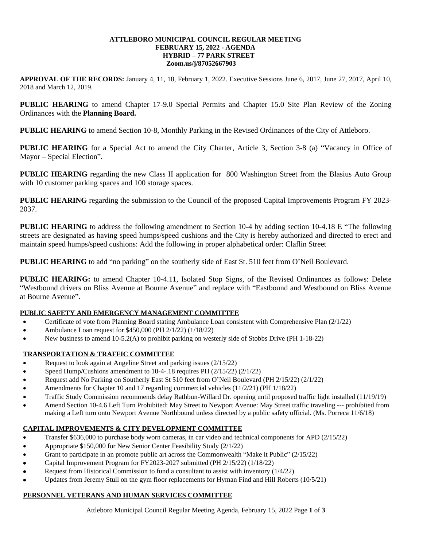#### **ATTLEBORO MUNICIPAL COUNCIL REGULAR MEETING FEBRUARY 15, 2022 - AGENDA HYBRID – 77 PARK STREET Zoom.us/j/87052667903**

**APPROVAL OF THE RECORDS:** January 4, 11, 18, February 1, 2022. Executive Sessions June 6, 2017, June 27, 2017, April 10, 2018 and March 12, 2019.

**PUBLIC HEARING** to amend Chapter 17-9.0 Special Permits and Chapter 15.0 Site Plan Review of the Zoning Ordinances with the **Planning Board.**

**PUBLIC HEARING** to amend Section 10-8, Monthly Parking in the Revised Ordinances of the City of Attleboro.

**PUBLIC HEARING** for a Special Act to amend the City Charter, Article 3, Section 3-8 (a) "Vacancy in Office of Mayor – Special Election".

**PUBLIC HEARING** regarding the new Class II application for 800 Washington Street from the Blasius Auto Group with 10 customer parking spaces and 100 storage spaces.

**PUBLIC HEARING** regarding the submission to the Council of the proposed Capital Improvements Program FY 2023- 2037.

**PUBLIC HEARING** to address the following amendment to Section 10-4 by adding section 10-4.18 E "The following streets are designated as having speed humps/speed cushions and the City is hereby authorized and directed to erect and maintain speed humps/speed cushions: Add the following in proper alphabetical order: Claflin Street

**PUBLIC HEARING** to add "no parking" on the southerly side of East St. 510 feet from O'Neil Boulevard.

**PUBLIC HEARING:** to amend Chapter 10-4.11, Isolated Stop Signs, of the Revised Ordinances as follows: Delete "Westbound drivers on Bliss Avenue at Bourne Avenue" and replace with "Eastbound and Westbound on Bliss Avenue at Bourne Avenue".

# **PUBLIC SAFETY AND EMERGENCY MANAGEMENT COMMITTEE**

- Certificate of vote from Planning Board stating Ambulance Loan consistent with Comprehensive Plan (2/1/22)
- Ambulance Loan request for \$450,000 (PH 2/1/22) (1/18/22)
- New business to amend 10-5.2(A) to prohibit parking on westerly side of Stobbs Drive (PH 1-18-22)

# **TRANSPORTATION & TRAFFIC COMMITTEE**

- Request to look again at Angeline Street and parking issues (2/15/22)
- Speed Hump/Cushions amendment to 10-4-.18 requires PH (2/15/22) (2/1/22)
- Request add No Parking on Southerly East St 510 feet from O'Neil Boulevard (PH 2/15/22) (2/1/22)
- Amendments for Chapter 10 and 17 regarding commercial vehicles (11/2/21) (PH 1/18/22)
- Traffic Study Commission recommends delay Rathbun-Willard Dr. opening until proposed traffic light installed (11/19/19)
- Amend Section 10-4.6 Left Turn Prohibited: May Street to Newport Avenue: May Street traffic traveling --- prohibited from making a Left turn onto Newport Avenue Northbound unless directed by a public safety official. (Ms. Porreca 11/6/18)

# **CAPITAL IMPROVEMENTS & CITY DEVELOPMENT COMMITTEE**

- Transfer \$636,000 to purchase body worn cameras, in car video and technical components for APD (2/15/22)
- Appropriate \$150,000 for New Senior Center Feasibility Study (2/1/22)
- Grant to participate in an promote public art across the Commonwealth "Make it Public" (2/15/22)
- Capital Improvement Program for FY2023-2027 submitted (PH 2/15/22) (1/18/22)
- Request from Historical Commission to fund a consultant to assist with inventory (1/4/22)
- Updates from Jeremy Stull on the gym floor replacements for Hyman Find and Hill Roberts (10/5/21)

# **PERSONNEL VETERANS AND HUMAN SERVICES COMMITTEE**

Attleboro Municipal Council Regular Meeting Agenda, February 15, 2022 Page **1** of **3**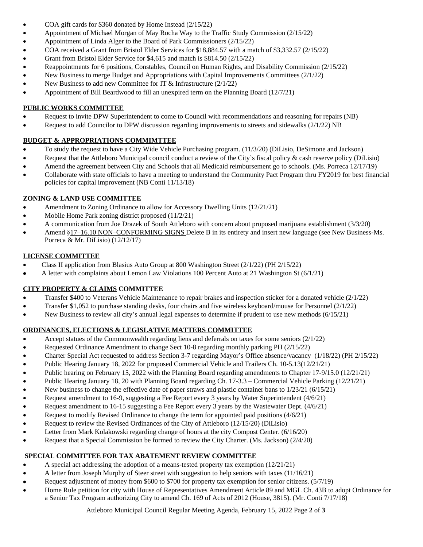- COA gift cards for \$360 donated by Home Instead (2/15/22)
- Appointment of Michael Morgan of May Rocha Way to the Traffic Study Commission (2/15/22)
- Appointment of Linda Alger to the Board of Park Commissioners (2/15/22)
- COA received a Grant from Bristol Elder Services for \$18,884.57 with a match of \$3,332.57 (2/15/22)
- Grant from Bristol Elder Service for \$4,615 and match is \$814.50 (2/15/22)
- Reappointments for 6 positions, Constables, Council on Human Rights, and Disability Commission (2/15/22)
- New Business to merge Budget and Appropriations with Capital Improvements Committees (2/1/22)
- New Business to add new Committee for IT & Infrastructure (2/1/22)
- Appointment of Bill Beardwood to fill an unexpired term on the Planning Board (12/7/21)

#### **PUBLIC WORKS COMMITTEE**

- Request to invite DPW Superintendent to come to Council with recommendations and reasoning for repairs (NB)
- Request to add Councilor to DPW discussion regarding improvements to streets and sidewalks (2/1/22) NB

# **BUDGET & APPROPRIATIONS COMMIMTTEE**

- To study the request to have a City Wide Vehicle Purchasing program. (11/3/20) (DiLisio, DeSimone and Jackson)
- Request that the Attleboro Municipal council conduct a review of the City's fiscal policy & cash reserve policy (DiLisio)
- Amend the agreement between City and Schools that all Medicaid reimbursement go to schools. (Ms. Porreca 12/17/19)
- Collaborate with state officials to have a meeting to understand the Community Pact Program thru FY2019 for best financial policies for capital improvement (NB Conti 11/13/18)

# **ZONING & LAND USE COMMITTEE**

- Amendment to Zoning Ordinance to allow for Accessory Dwelling Units (12/21/21)
- Mobile Home Park zoning district proposed (11/2/21)
- A communication from Joe Drazek of South Attleboro with concern about proposed marijuana establishment (3/3/20)
- Amend §17–16.10 NON–CONFORMING SIGNS Delete B in its entirety and insert new language (see New Business-Ms. Porreca & Mr. DiLisio) (12/12/17)

# **LICENSE COMMITTEE**

- Class II application from Blasius Auto Group at 800 Washington Street (2/1/22) (PH 2/15/22)
- A letter with complaints about Lemon Law Violations 100 Percent Auto at 21 Washington St (6/1/21)

# **CITY PROPERTY & CLAIMS COMMITTEE**

- Transfer \$400 to Veterans Vehicle Maintenance to repair brakes and inspection sticker for a donated vehicle (2/1/22)
- Transfer \$1,052 to purchase standing desks, four chairs and five wireless keyboard/mouse for Personnel (2/1/22)
- New Business to review all city's annual legal expenses to determine if prudent to use new methods (6/15/21)

# **ORDINANCES, ELECTIONS & LEGISLATIVE MATTERS COMMITTEE**

- Accept statues of the Commonwealth regarding liens and deferrals on taxes for some seniors (2/1/22)
- Requested Ordinance Amendment to change Sect 10-8 regarding monthly parking PH (2/15/22)
- Charter Special Act requested to address Section 3-7 regarding Mayor's Office absence/vacancy (1/18/22) (PH 2/15/22)
- Public Hearing January 18, 2022 for proposed Commercial Vehicle and Trailers Ch. 10-5.13(12/21/21)
- Public hearing on February 15, 2022 with the Planning Board regarding amendments to Chapter 17-9/15.0 (12/21/21)
- Public Hearing January 18, 20 with Planning Board regarding Ch. 17-3.3 Commercial Vehicle Parking (12/21/21)
- New business to change the effective date of paper straws and plastic container bans to 1/23/21 (6/15/21)
- Request amendment to 16-9, suggesting a Fee Report every 3 years by Water Superintendent (4/6/21)
- Request amendment to 16-15 suggesting a Fee Report every 3 years by the Wastewater Dept. (4/6/21)
- Request to modify Revised Ordinance to change the term for appointed paid positions (4/6/21)
- Request to review the Revised Ordinances of the City of Attleboro (12/15/20) (DiLisio)
- Letter from Mark Kolakowski regarding change of hours at the city Compost Center. (6/16/20)
- Request that a Special Commission be formed to review the City Charter. (Ms. Jackson) (2/4/20)

# **SPECIAL COMMITTEE FOR TAX ABATEMENT REVIEW COMMITTEE**

- A special act addressing the adoption of a means-tested property tax exemption  $(12/21/21)$
- A letter from Joseph Murphy of Steer street with suggestion to help seniors with taxes (11/16/21)
- Request adjustment of money from \$600 to \$700 for property tax exemption for senior citizens. (5/7/19)
- Home Rule petition for city with House of Representatives Amendment Article 89 and MGL Ch. 43B to adopt Ordinance for a Senior Tax Program authorizing City to amend Ch. 169 of Acts of 2012 (House, 3815). (Mr. Conti 7/17/18)

Attleboro Municipal Council Regular Meeting Agenda, February 15, 2022 Page **2** of **3**